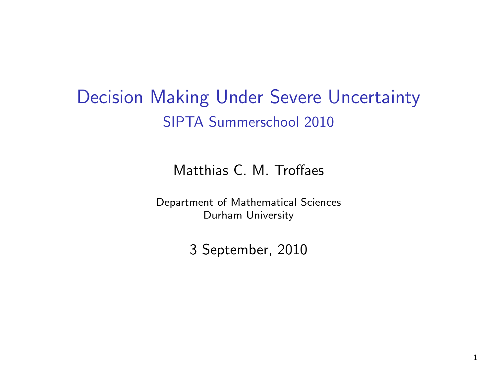Decision Making Under Severe Uncertainty SIPTA Summerschool 2010

Matthias C. M. Troffaes

Department of Mathematical Sciences Durham University

3 September, 2010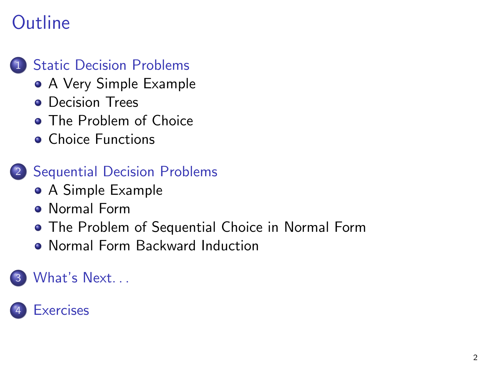# **Outline**

## **[Static Decision Problems](#page-2-0)**

- [A Very Simple Example](#page-2-0)
- **•** [Decision Trees](#page-5-0)
- **[The Problem of Choice](#page-8-0)**
- **[Choice Functions](#page-20-0)**
- 2 [Sequential Decision Problems](#page-30-0)
	- [A Simple Example](#page-30-0)
	- **[Normal Form](#page-33-0)**
	- [The Problem of Sequential Choice in Normal Form](#page-37-0)
	- [Normal Form Backward Induction](#page-41-0)

## What's Next...

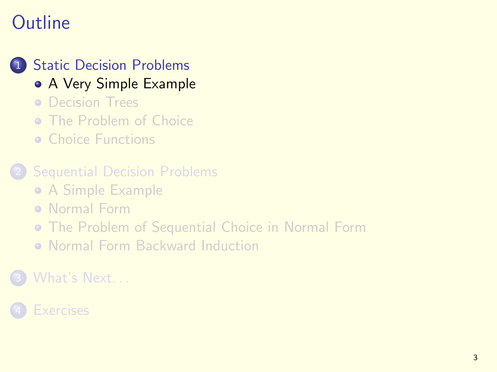# **Outline**

## 1 [Static Decision Problems](#page-2-0)

## [A Very Simple Example](#page-2-0)

- **[Decision Trees](#page-5-0)**
- **o** [The Problem of Choice](#page-8-0)
- **[Choice Functions](#page-20-0)**

#### **[Sequential Decision Problems](#page-30-0)**

- [A Simple Example](#page-30-0)
- **[Normal Form](#page-33-0)**
- [The Problem of Sequential Choice in Normal Form](#page-37-0)
- <span id="page-2-0"></span>[Normal Form Backward Induction](#page-41-0)  $\bullet$

## [What's Next. . .](#page-56-0)

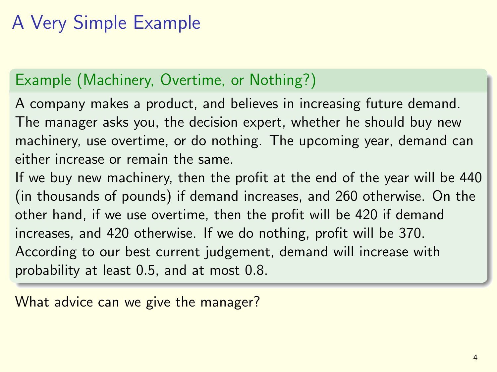# A Very Simple Example

## Example (Machinery, Overtime, or Nothing?)

A company makes a product, and believes in increasing future demand. The manager asks you, the decision expert, whether he should buy new machinery, use overtime, or do nothing. The upcoming year, demand can either increase or remain the same.

If we buy new machinery, then the profit at the end of the year will be 440 (in thousands of pounds) if demand increases, and 260 otherwise. On the other hand, if we use overtime, then the profit will be 420 if demand increases, and 420 otherwise. If we do nothing, profit will be 370. According to our best current judgement, demand will increase with probability at least 0.5, and at most 0.8.

What advice can we give the manager?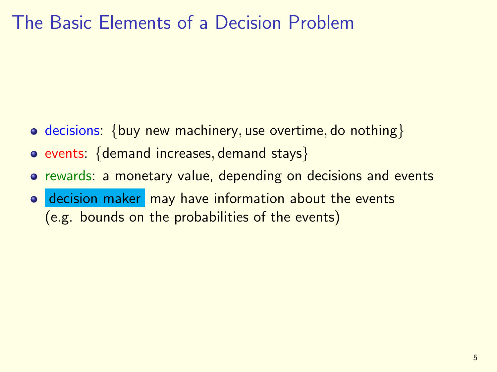## The Basic Elements of a Decision Problem

- decisions: {buy new machinery, use overtime, do nothing}
- $\bullet$  events: {demand increases, demand stays}
- **o** rewards: a monetary value, depending on decisions and events
- decision maker may have information about the events (e.g. bounds on the probabilities of the events)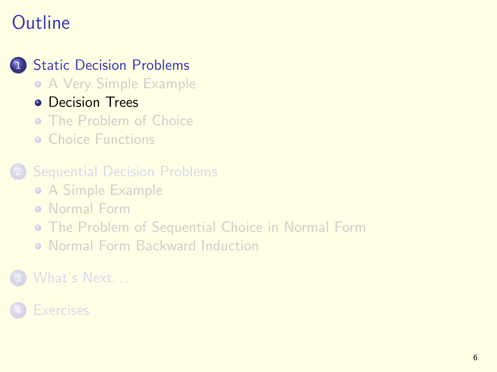# **Outline**

## **[Static Decision Problems](#page-2-0)**

- [A Very Simple Example](#page-2-0)
- **[Decision Trees](#page-5-0)**
- **o** [The Problem of Choice](#page-8-0)
- **[Choice Functions](#page-20-0)**

#### **[Sequential Decision Problems](#page-30-0)**

- [A Simple Example](#page-30-0)
- **[Normal Form](#page-33-0)**
- [The Problem of Sequential Choice in Normal Form](#page-37-0)
- <span id="page-5-0"></span>[Normal Form Backward Induction](#page-41-0)  $\bullet$

## [What's Next. . .](#page-56-0)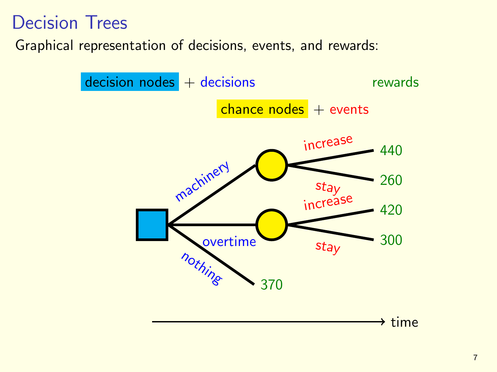## Decision Trees

Graphical representation of decisions, events, and rewards:

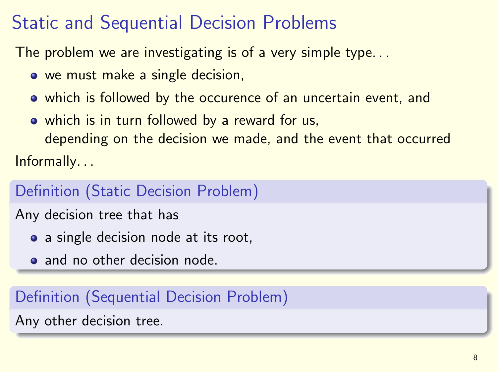# Static and Sequential Decision Problems

The problem we are investigating is of a very simple type. . .

- we must make a single decision,
- which is followed by the occurence of an uncertain event, and
- which is in turn followed by a reward for us,

depending on the decision we made, and the event that occurred Informally. . .

## Definition (Static Decision Problem)

Any decision tree that has

- a single decision node at its root,
- and no other decision node.

## Definition (Sequential Decision Problem)

Any other decision tree.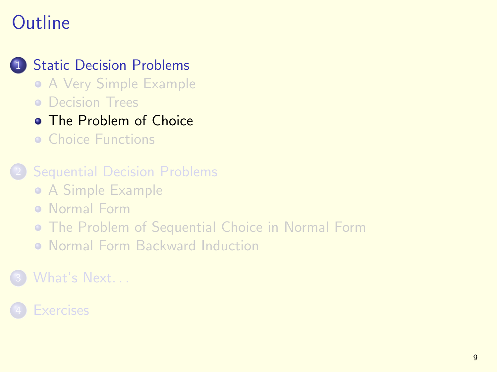# **Outline**

## **[Static Decision Problems](#page-2-0)**

- [A Very Simple Example](#page-2-0)
- **[Decision Trees](#page-5-0)**

## **o** [The Problem of Choice](#page-8-0)

**[Choice Functions](#page-20-0)** 

#### **[Sequential Decision Problems](#page-30-0)**

- [A Simple Example](#page-30-0)
- **[Normal Form](#page-33-0)**

### [The Problem of Sequential Choice in Normal Form](#page-37-0)

<span id="page-8-0"></span>[Normal Form Backward Induction](#page-41-0)  $\bullet$ 

## [What's Next. . .](#page-56-0)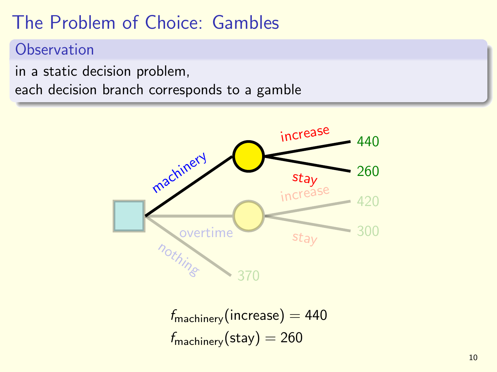# The Problem of Choice: Gambles

### **Observation**

in a static decision problem,

each decision branch corresponds to a gamble



 $f_{\text{machinery}}(\text{increase}) = 440$  $f_{\text{machinery}}(\text{stay}) = 260$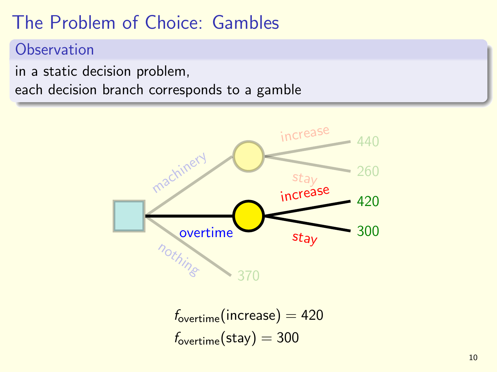# The Problem of Choice: Gambles

### **Observation**

in a static decision problem,

each decision branch corresponds to a gamble



 $f_{\text{overtime}}(increase) = 420$  $f_{\text{overtime}}(\text{stay}) = 300$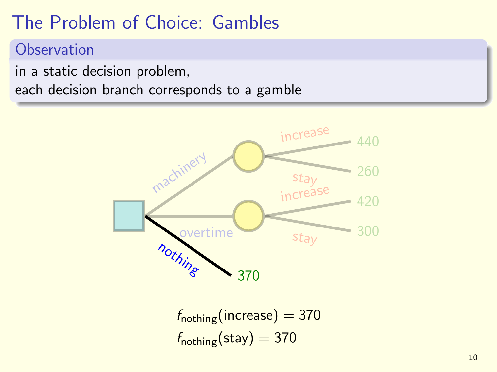# The Problem of Choice: Gambles

### **Observation**

in a static decision problem,

each decision branch corresponds to a gamble

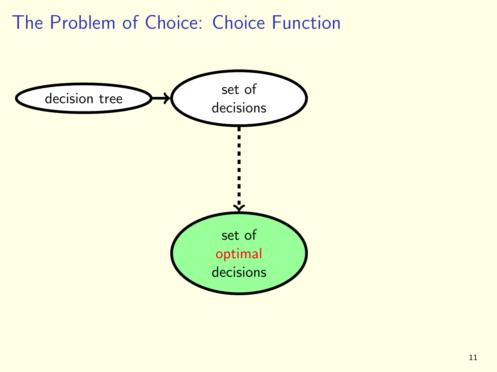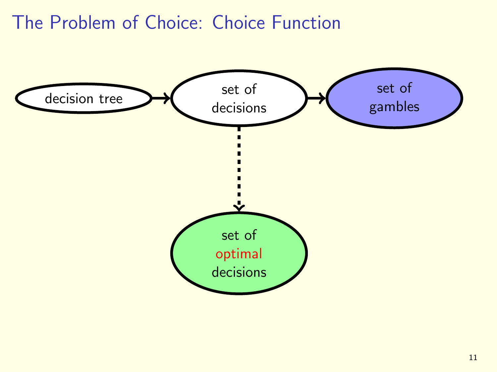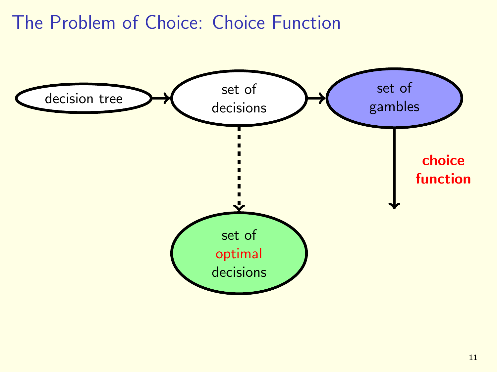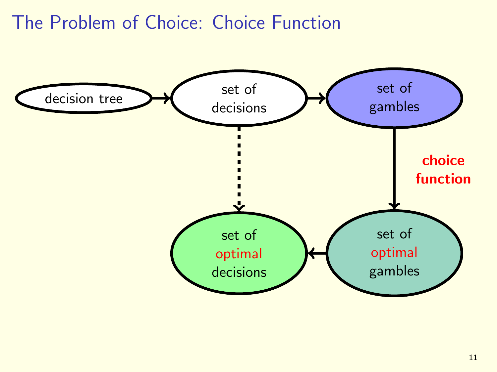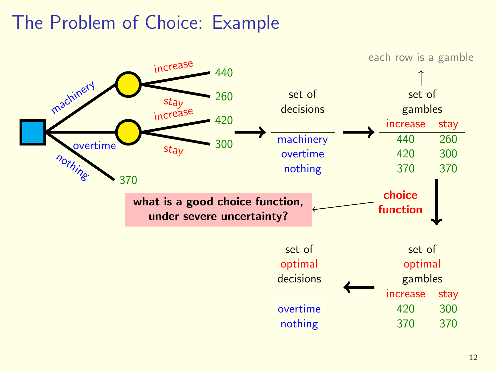# The Problem of Choice: Example

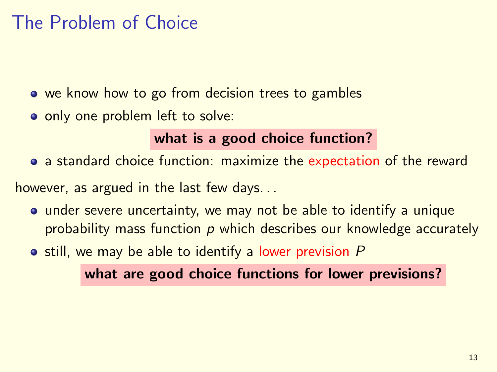# The Problem of Choice

- we know how to go from decision trees to gambles
- o only one problem left to solve:

## what is a good choice function?

a standard choice function: maximize the expectation of the reward

however, as argued in the last few days. . .

- under severe uncertainty, we may not be able to identify a unique probability mass function  $p$  which describes our knowledge accurately
- $\bullet$  still, we may be able to identify a lower prevision  $P$

what are good choice functions for lower previsions?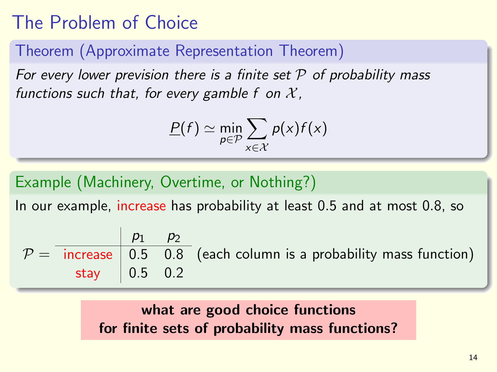# The Problem of Choice

Theorem (Approximate Representation Theorem)

For every lower prevision there is a finite set  $P$  of probability mass functions such that, for every gamble f on  $\mathcal{X}$ ,

$$
\underline{P}(f) \simeq \min_{p \in \mathcal{P}} \sum_{x \in \mathcal{X}} p(x) f(x)
$$

Example (Machinery, Overtime, or Nothing?)

In our example, increase has probability at least 0.5 and at most 0.8, so

$$
\mathcal{P} = \frac{p_1 \quad p_2}{\text{increase}} \quad \begin{array}{c} 0.5 & 0.8 \\ 0.5 & 0.8 \end{array} \text{ (each column is a probability mass function)} \quad \text{stay} \quad \begin{array}{c} 0.5 & 0.2 \end{array}
$$

### what are good choice functions for finite sets of probability mass functions?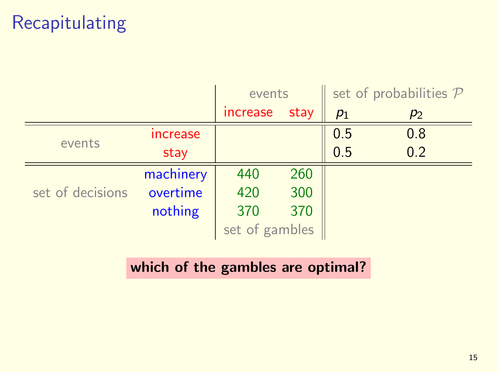# Recapitulating

|                  |                 | events         |      | set of probabilities $P$ |       |
|------------------|-----------------|----------------|------|--------------------------|-------|
|                  |                 | increase       | stay | $p_1$                    | $p_2$ |
| events           | <b>Increase</b> |                |      | 0.5                      | 0.8   |
|                  | stay            |                |      | 0.5                      | 0.2   |
| set of decisions | machinery       | 440            | 260  |                          |       |
|                  | overtime        | 420            | 300  |                          |       |
|                  | nothing         | 370            | 370  |                          |       |
|                  |                 | set of gambles |      |                          |       |

## which of the gambles are optimal?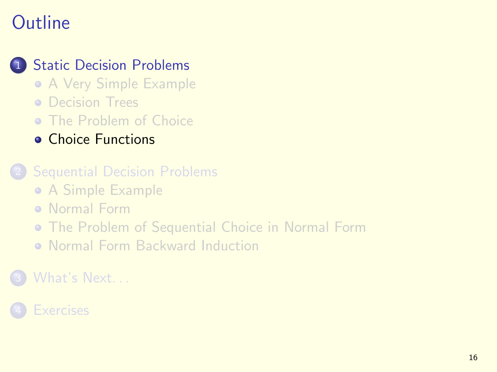# **Outline**

## **[Static Decision Problems](#page-2-0)**

- [A Very Simple Example](#page-2-0)
- **[Decision Trees](#page-5-0)**
- **o** [The Problem of Choice](#page-8-0)
- **[Choice Functions](#page-20-0)**

#### **[Sequential Decision Problems](#page-30-0)**

- [A Simple Example](#page-30-0)
- **[Normal Form](#page-33-0)**
- [The Problem of Sequential Choice in Normal Form](#page-37-0)
- <span id="page-20-0"></span>[Normal Form Backward Induction](#page-41-0)  $\bullet$

## [What's Next. . .](#page-56-0)

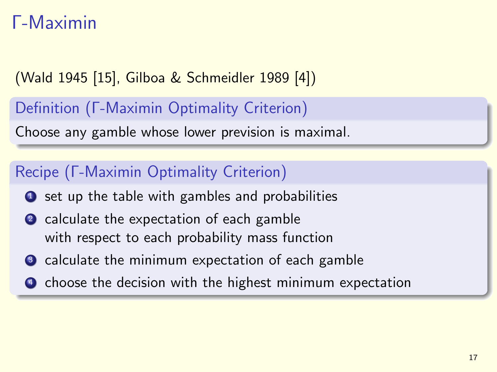# Γ-Maximin

(Wald 1945 [\[15\]](#page-62-0), Gilboa & Schmeidler 1989 [\[4\]](#page-59-0))

Definition (Γ-Maximin Optimality Criterion)

Choose any gamble whose lower prevision is maximal.

## Recipe (Γ-Maximin Optimality Criterion)

- $\bullet$  set up the table with gambles and probabilities
- 2 calculate the expectation of each gamble with respect to each probability mass function
- <sup>3</sup> calculate the minimum expectation of each gamble
- **4** choose the decision with the highest minimum expectation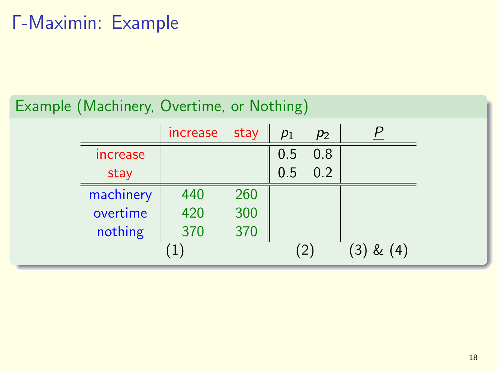# Γ-Maximin: Example

## Example (Machinery, Overtime, or Nothing)

|                 | increase | stay | $p_1$ | $p_2$ |               |
|-----------------|----------|------|-------|-------|---------------|
| <b>Increase</b> |          |      | 0.5   | 0.8   |               |
| stay            |          |      | 0.5   | 0.2   |               |
| machinery       | 440      | 260  |       |       |               |
| overtime        | 420      | 300  |       |       |               |
| nothing         | 370      | 370  |       |       |               |
|                 |          |      |       | (2)   | $(3)$ & $(4)$ |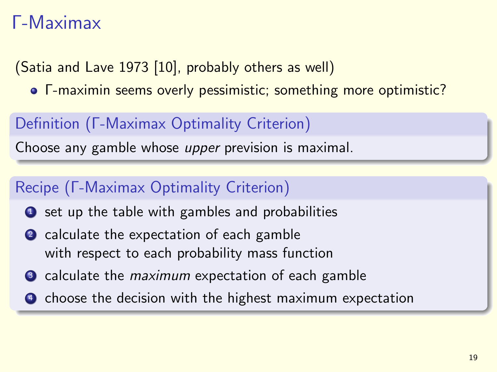# Γ-Maximax

(Satia and Lave 1973 [\[10\]](#page-61-0), probably others as well)

Γ-maximin seems overly pessimistic; something more optimistic?

## Definition (Γ-Maximax Optimality Criterion)

Choose any gamble whose upper prevision is maximal.

## Recipe (Γ-Maximax Optimality Criterion)

- **1** set up the table with gambles and probabilities
- 2 calculate the expectation of each gamble with respect to each probability mass function
- <sup>3</sup> calculate the *maximum* expectation of each gamble
- **4** choose the decision with the highest maximum expectation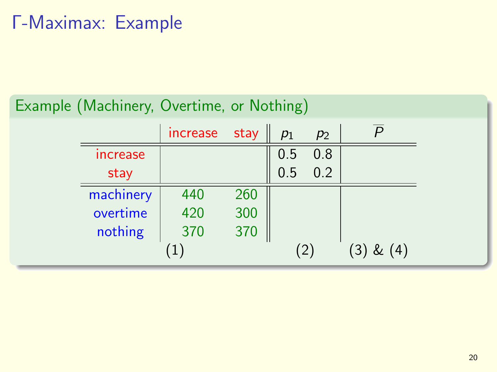# Γ-Maximax: Example

## Example (Machinery, Overtime, or Nothing)

|                               | increase | stay | $p_1$ | $p_2$ |               |
|-------------------------------|----------|------|-------|-------|---------------|
| <i><u><b>Increase</b></u></i> |          |      | 0.5   | 0.8   |               |
| stay                          |          |      | 0.5   | 0.2   |               |
| machinery                     | 440      | 260  |       |       |               |
| overtime                      | 420      | 300  |       |       |               |
| nothing                       | 370      | 370  |       |       |               |
|                               |          |      |       | (2)   | $(3)$ & $(4)$ |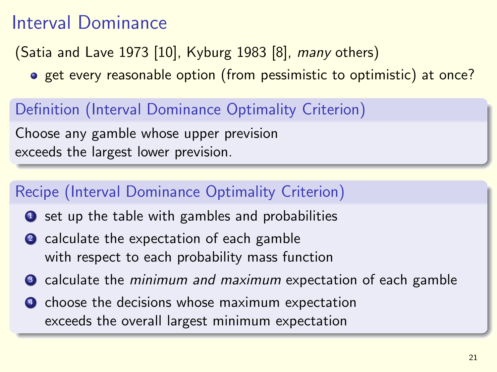# Interval Dominance

(Satia and Lave 1973 [\[10\]](#page-61-0), Kyburg 1983 [\[8\]](#page-60-0), many others)

o get every reasonable option (from pessimistic to optimistic) at once?

## Definition (Interval Dominance Optimality Criterion)

Choose any gamble whose upper prevision exceeds the largest lower prevision.

## Recipe (Interval Dominance Optimality Criterion)

- $\bullet$  set up the table with gambles and probabilities
- 2 calculate the expectation of each gamble with respect to each probability mass function
- **3** calculate the minimum and maximum expectation of each gamble
- **4** choose the decisions whose maximum expectation exceeds the overall largest minimum expectation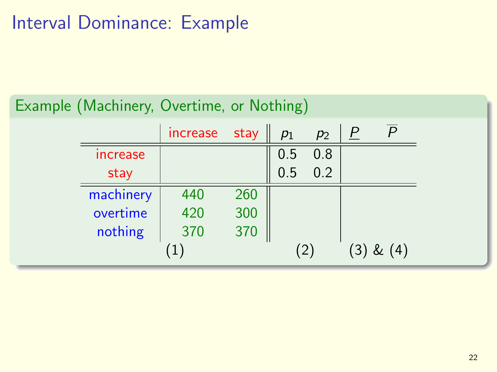# Interval Dominance: Example

## Example (Machinery, Overtime, or Nothing)

|                        | increase | stay | $p_1$ | $p_2$ | <u>P</u> |               |
|------------------------|----------|------|-------|-------|----------|---------------|
| <i><b>Increase</b></i> |          |      | 0.5   | 0.8   |          |               |
| stay                   |          |      | 0.5   | 0.2   |          |               |
| machinery              | 440      | 260  |       |       |          |               |
| overtime               | 420      | 300  |       |       |          |               |
| nothing                | 370      | 370  |       |       |          |               |
|                        | 1        |      |       |       |          | $(3)$ & $(4)$ |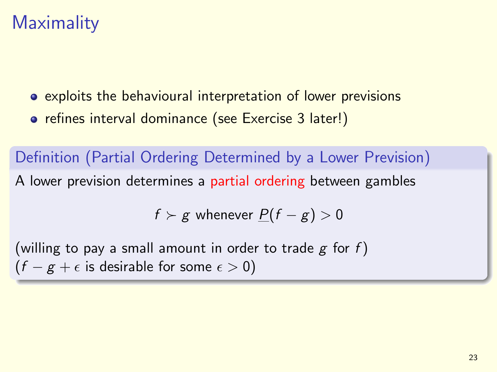# **Maximality**

- exploits the behavioural interpretation of lower previsions
- **•** refines interval dominance (see Exercise 3 later!)

Definition (Partial Ordering Determined by a Lower Prevision) A lower prevision determines a partial ordering between gambles

$$
f \succ g
$$
 whenever  $\underline{P}(f-g) > 0$ 

(willing to pay a small amount in order to trade  $g$  for  $f$ )  $(f - g + \epsilon)$  is desirable for some  $\epsilon > 0$ )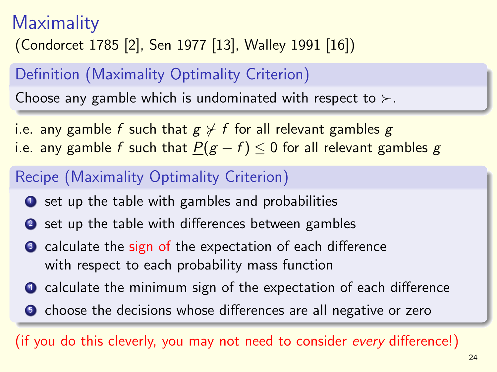# **Maximality** (Condorcet 1785 [\[2\]](#page-58-0), Sen 1977 [\[13\]](#page-61-1), Walley 1991 [\[16\]](#page-62-1))

## Definition (Maximality Optimality Criterion)

Choose any gamble which is undominated with respect to  $\succ$ .

i.e. any gamble f such that  $g \nless f$  for all relevant gambles g i.e. any gamble f such that  $P(g - f) \leq 0$  for all relevant gambles g

## Recipe (Maximality Optimality Criterion)

- $\bullet$  set up the table with gambles and probabilities
- <sup>2</sup> set up the table with differences between gambles
- calculate the sign of the expectation of each difference with respect to each probability mass function
- **4** calculate the minimum sign of the expectation of each difference
- **•** choose the decisions whose differences are all negative or zero

(if you do this cleverly, you may not need to consider every difference!)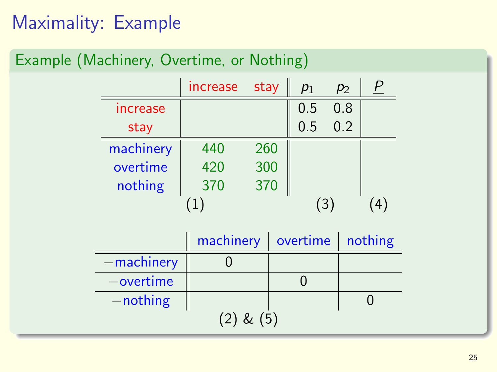# Maximality: Example

## Example (Machinery, Overtime, or Nothing)

|                        | increase | stay | $p_1$ | $p_2$ |   |
|------------------------|----------|------|-------|-------|---|
| <i><b>Increase</b></i> |          |      | 0.5   | 0.8   |   |
| stay                   |          |      | 0.5   | 0.2   |   |
| machinery              | 440      | 260  |       |       |   |
| overtime               | 420      | 300  |       |       |   |
| nothing                | 370      | 370  |       |       |   |
|                        |          |      | (3    |       | 4 |

|               | machinery | overtime   nothing |  |  |  |  |  |
|---------------|-----------|--------------------|--|--|--|--|--|
| -machinery    |           |                    |  |  |  |  |  |
| $-$ overtime  |           |                    |  |  |  |  |  |
| $-$ nothing   |           |                    |  |  |  |  |  |
| $(2)$ & $(5)$ |           |                    |  |  |  |  |  |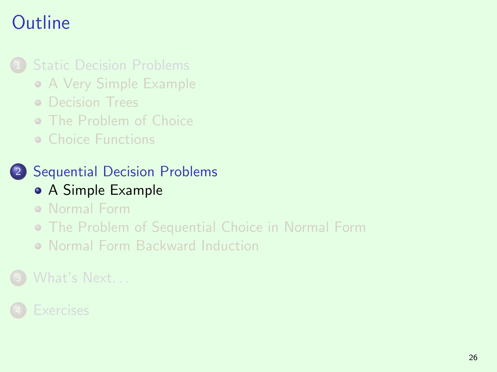# **Outline**

## **[Static Decision Problems](#page-2-0)**

- [A Very Simple Example](#page-2-0)
- **o** [Decision Trees](#page-5-0)
- [The Problem of Choice](#page-8-0)
- [Choice Functions](#page-20-0)

# 2 [Sequential Decision Problems](#page-30-0)

- [A Simple Example](#page-30-0)
- [Normal Form](#page-33-0)
- [The Problem of Sequential Choice in Normal Form](#page-37-0)
- <span id="page-30-0"></span>[Normal Form Backward Induction](#page-41-0)

## [What's Next. . .](#page-56-0)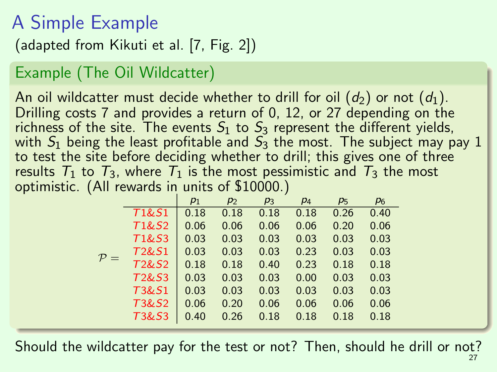# A Simple Example

(adapted from Kikuti et al. [\[7,](#page-60-1) Fig. 2])

## Example (The Oil Wildcatter)

An oil wildcatter must decide whether to drill for oil  $(d_2)$  or not  $(d_1)$ . Drilling costs 7 and provides a return of 0, 12, or 27 depending on the richness of the site. The events  $S_1$  to  $S_3$  represent the different yields, with  $S_1$  being the least profitable and  $S_3$  the most. The subject may pay 1 to test the site before deciding whether to drill; this gives one of three results  $T_1$  to  $T_3$ , where  $T_1$  is the most pessimistic and  $T_3$  the most optimistic. (All rewards in units of \$10000.)

|                |                                | $p_1$ | $p_2$ | $p_3$ | $p_4$ | $p_5$ | $p_6$ |
|----------------|--------------------------------|-------|-------|-------|-------|-------|-------|
|                | T1&S1                          | 0.18  | 0.18  | 0.18  | 0.18  | 0.26  | 0.40  |
|                | T1&S2                          | 0.06  | 0.06  | 0.06  | 0.06  | 0.20  | 0.06  |
|                | T1&S3                          | 0.03  | 0.03  | 0.03  | 0.03  | 0.03  | 0.03  |
|                | T <sub>2</sub> &S <sub>1</sub> | 0.03  | 0.03  | 0.03  | 0.23  | 0.03  | 0.03  |
| $\mathcal{P}=$ | T <sub>2</sub> &S <sub>2</sub> | 0.18  | 0.18  | 0.40  | 0.23  | 0.18  | 0.18  |
|                | T <sub>2</sub> &S <sub>3</sub> | 0.03  | 0.03  | 0.03  | 0.00  | 0.03  | 0.03  |
|                | T3&S1                          | 0.03  | 0.03  | 0.03  | 0.03  | 0.03  | 0.03  |
|                | T3&S2                          | 0.06  | 0.20  | 0.06  | 0.06  | 0.06  | 0.06  |
|                | T3&S3                          | 0.40  | 0.26  | 0.18  | 0.18  | 0.18  | 0.18  |

Should the wildcatter pay for the test or not? Then, should he drill or not?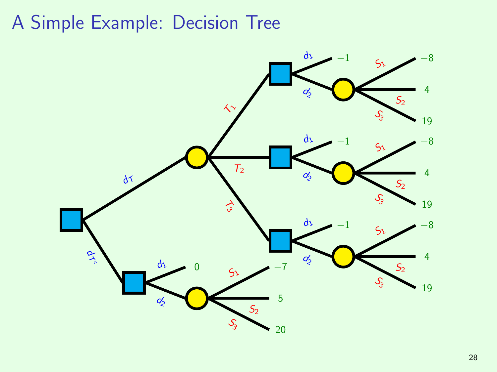# A Simple Example: Decision Tree

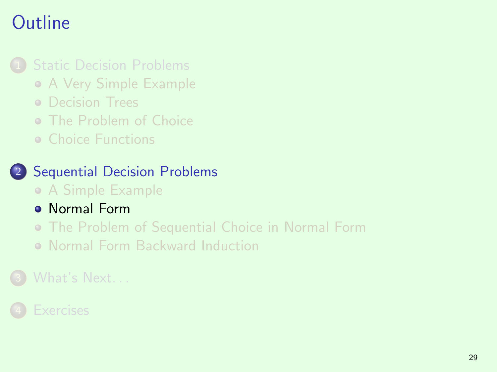# **Outline**

## **[Static Decision Problems](#page-2-0)**

- [A Very Simple Example](#page-2-0)
- **O** [Decision Trees](#page-5-0)
- [The Problem of Choice](#page-8-0)
- [Choice Functions](#page-20-0)

# 2 [Sequential Decision Problems](#page-30-0)

- [A Simple Example](#page-30-0)
- **[Normal Form](#page-33-0)**
- [The Problem of Sequential Choice in Normal Form](#page-37-0)
- <span id="page-33-0"></span>[Normal Form Backward Induction](#page-41-0)

## [What's Next. . .](#page-56-0)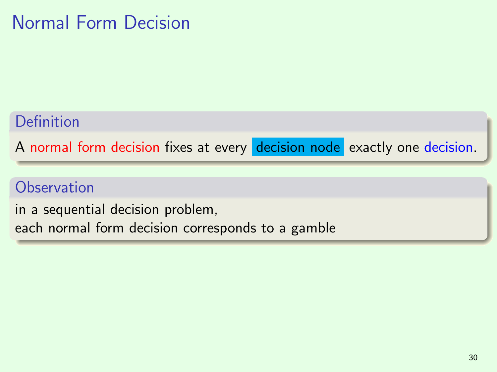# Normal Form Decision

### Definition

A normal form decision fixes at every decision node exactly one decision.

## **Observation**

in a sequential decision problem, each normal form decision corresponds to a gamble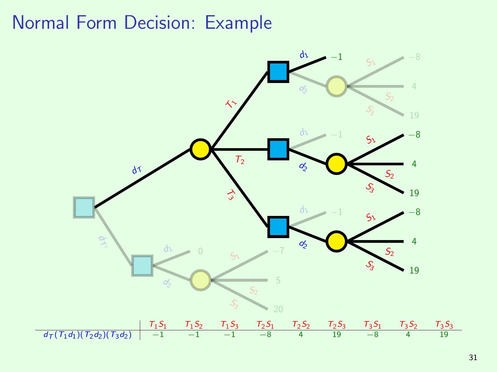# Normal Form Decision: Example

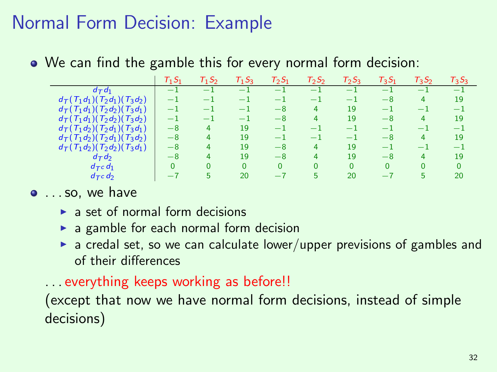## Normal Form Decision: Example

We can find the gamble this for every normal form decision:

|                                                                         | $T_1S_1$ | $T_1S_2$ | $T_1S_3$ | $T_2S_1$ | $T_2S_2$ | $T_2S_3$ | $T_3S_1$ | $T_3S_2$ | $T_3S_3$ |
|-------------------------------------------------------------------------|----------|----------|----------|----------|----------|----------|----------|----------|----------|
| $d_{\mathcal{T}}d_1$                                                    | $-1$     | - 1      | - 1      | - 1      | - 1      | -1       | - 1      | $-1$     | $-1$     |
| $d_{\mathcal{T}}(T_1d_1)(T_2d_1)(T_3d_2)$                               | - 1      | - 1      | $-1$     | -1       | $-1$     | -1       | $-8$     | 4        | 19       |
| $d_{\mathcal{T}}(\mathcal{T}_1d_1)(\mathcal{T}_2d_2)(\mathcal{T}_3d_1)$ | - 1      | - 1      | - 1      | $-8$     | 4        | 19       | - 1      | $-1$     | -1       |
| $d_{\mathcal{T}}(T_1d_1)(T_2d_2)(T_3d_2)$                               | - 1      | - 1      | - 1      | -8       |          | 19       | $-8$     | 4        | 19       |
| $d_{\mathcal{T}}(\mathcal{T}_1d_2)(\mathcal{T}_2d_1)(\mathcal{T}_3d_1)$ | $-8$     | 4        | 19       | - 1      | - 1      | - 1      | - 1      | $-1$     | -1       |
| $d_{\mathcal{T}}(T_1d_2)(T_2d_1)(T_3d_2)$                               | $-8$     | 4        | 19       | - 1      | - 1      | - 1      | $-8$     | 4        | 19       |
| $d_{\mathcal{T}}(T_1d_2)(T_2d_2)(T_3d_1)$                               | $-8$     | 4        | 19       | $-8$     | 4        | 19       | - 1      | -1       | -1       |
| $d_{\mathcal{T}}d_{\mathcal{T}}$                                        | $-8$     | 4        | 19       | $-8$     |          | 19       | $-8$     | 4        | 19       |
| $d_{\mathcal{T}} c d_1$                                                 | 0        | $\Omega$ | $\Omega$ | n        | n        | n        | n        | 0        | $\Omega$ |
| $d_{TC}$ $d_{2}$                                                        | $-7$     | 5        | 20       | -7       | 5        | 20       | $-7$     | 5        | 20       |

- $\bullet$  ... so, we have
	- $\triangleright$  a set of normal form decisions
	- $\triangleright$  a gamble for each normal form decision
	- $\triangleright$  a credal set, so we can calculate lower/upper previsions of gambles and of their differences
	- . . . everything keeps working as before!!

(except that now we have normal form decisions, instead of simple decisions)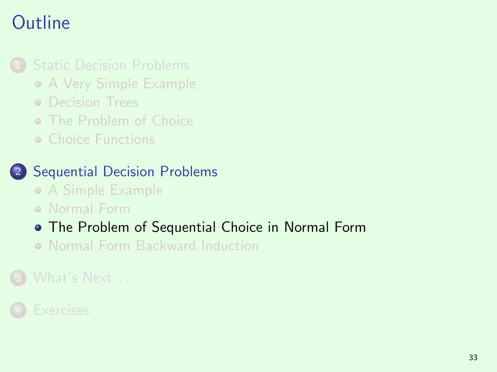## **Outline**

#### **[Static Decision Problems](#page-2-0)**

- [A Very Simple Example](#page-2-0)
- **O** [Decision Trees](#page-5-0)
- [The Problem of Choice](#page-8-0)
- [Choice Functions](#page-20-0)

#### 2 [Sequential Decision Problems](#page-30-0)

- [A Simple Example](#page-30-0)
- [Normal Form](#page-33-0)

#### [The Problem of Sequential Choice in Normal Form](#page-37-0)

<span id="page-37-0"></span>[Normal Form Backward Induction](#page-41-0)

#### [What's Next. . .](#page-56-0)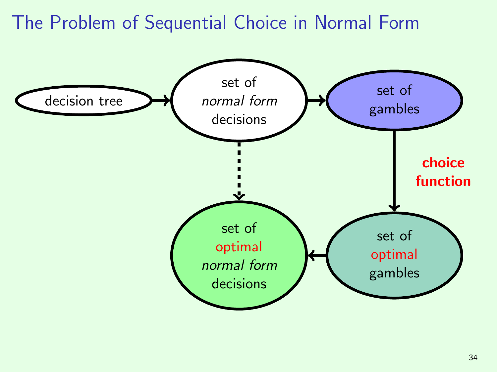## The Problem of Sequential Choice in Normal Form

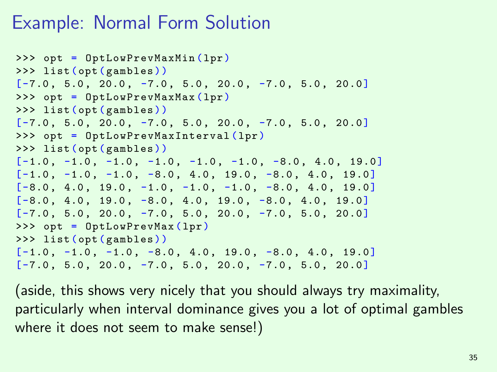## Example: Normal Form Solution

```
>>> opt = OptLowPrevMaxMin (lpr)
>>> list ( opt ( gambles ))
[-7.0, 5.0, 20.0, -7.0, 5.0, 20.0, -7.0, 5.0, 20.0]>>> opt = OptLowPrevMaxMax (lpr)
>>> list ( opt ( gambles ))
[-7.0, 5.0, 20.0, -7.0, 5.0, 20.0, -7.0, 5.0, 20.0]>>> opt = OptLowPrevMaxInterval (lpr)
>>> list ( opt ( gambles ))
[-1.0, -1.0, -1.0, -1.0, -1.0, -1.0, -1.0, -8.0, 4.0, 19.0][-1.0, -1.0, -1.0, -8.0, 4.0, 19.0, -8.0, 4.0, 19.0][-8.0, 4.0, 19.0, -1.0, -1.0, -1.0, -8.0, 4.0, 19.0][-8.0, 4.0, 19.0, -8.0, 4.0, 19.0, -8.0, 4.0, 19.0][-7.0, 5.0, 20.0, -7.0, 5.0, 20.0, -7.0, 5.0, 20.0]>>> opt = OptLowPrevMax ( lpr )
>>> list ( opt ( gambles ))
[-1.0, -1.0, -1.0, -8.0, 4.0, 19.0, -8.0, 4.0, 19.0][-7.0, 5.0, 20.0, -7.0, 5.0, 20.0, -7.0, 5.0, 20.0]
```
(aside, this shows very nicely that you should always try maximality, particularly when interval dominance gives you a lot of optimal gambles where it does not seem to make sense!)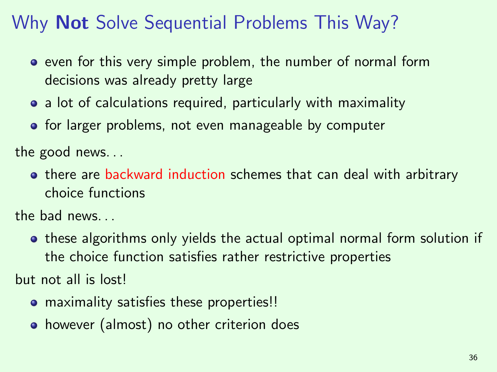## Why **Not** Solve Sequential Problems This Way?

- **•** even for this very simple problem, the number of normal form decisions was already pretty large
- a lot of calculations required, particularly with maximality
- **o** for larger problems, not even manageable by computer

the good news. . .

o there are backward induction schemes that can deal with arbitrary choice functions

the bad news. . .

• these algorithms only yields the actual optimal normal form solution if the choice function satisfies rather restrictive properties

but not all is lost!

- maximality satisfies these properties!!
- however (almost) no other criterion does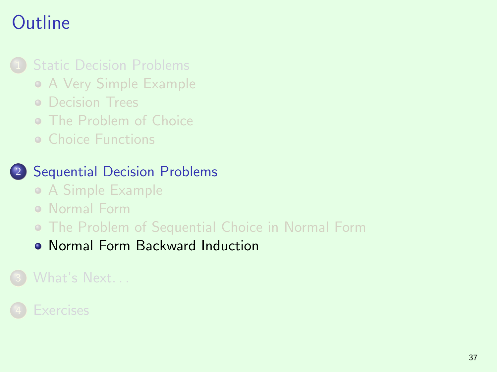## **Outline**

#### **[Static Decision Problems](#page-2-0)**

- [A Very Simple Example](#page-2-0)
- **O** [Decision Trees](#page-5-0)
- [The Problem of Choice](#page-8-0)
- [Choice Functions](#page-20-0)

#### 2 [Sequential Decision Problems](#page-30-0)

- [A Simple Example](#page-30-0)
- [Normal Form](#page-33-0)
- [The Problem of Sequential Choice in Normal Form](#page-37-0)
- <span id="page-41-0"></span>[Normal Form Backward Induction](#page-41-0)

### [What's Next. . .](#page-56-0)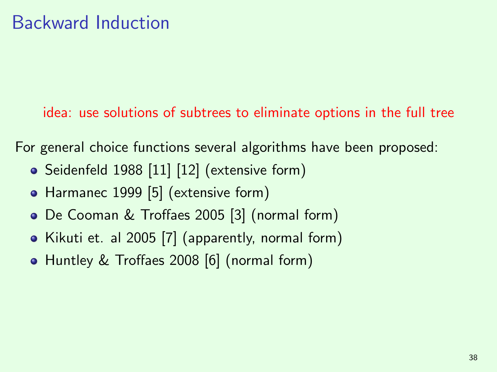idea: use solutions of subtrees to eliminate options in the full tree

For general choice functions several algorithms have been proposed:

- Seidenfeld 1988 [\[11\]](#page-61-0) [\[12\]](#page-61-1) (extensive form)
- Harmanec 1999 [\[5\]](#page-59-0) (extensive form)
- De Cooman & Troffaes 2005 [\[3\]](#page-58-0) (normal form)
- Kikuti et. al 2005 [\[7\]](#page-60-0) (apparently, normal form)
- Huntley & Troffaes 2008 [\[6\]](#page-59-1) (normal form)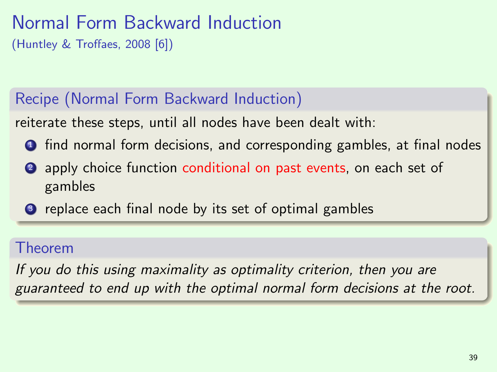## Normal Form Backward Induction

(Huntley & Troffaes, 2008 [\[6\]](#page-59-1))

### Recipe (Normal Form Backward Induction)

reiterate these steps, until all nodes have been dealt with:

- <sup>1</sup> find normal form decisions, and corresponding gambles, at final nodes
- 2 apply choice function conditional on past events, on each set of gambles
- <sup>3</sup> replace each final node by its set of optimal gambles

#### Theorem

If you do this using maximality as optimality criterion, then you are guaranteed to end up with the optimal normal form decisions at the root.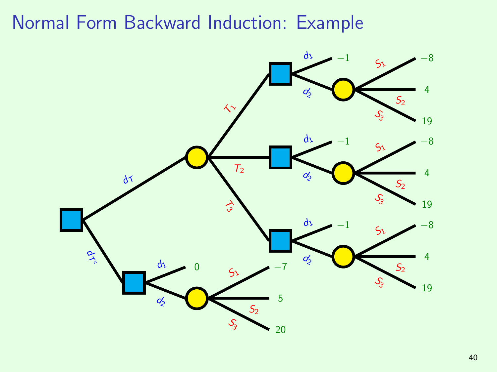## Normal Form Backward Induction: Example

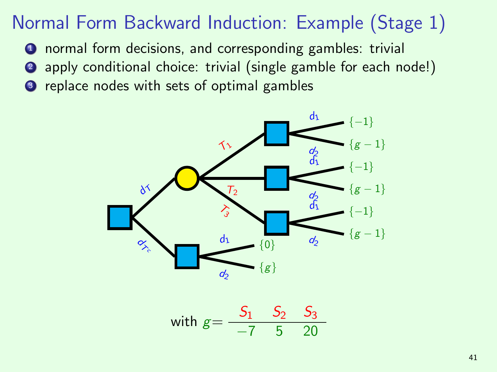- <sup>1</sup> normal form decisions, and corresponding gambles: trivial
- <sup>2</sup> apply conditional choice: trivial (single gamble for each node!)
- <sup>3</sup> replace nodes with sets of optimal gambles



with 
$$
g = \frac{S_1}{-7} \frac{S_2}{5} \frac{S_3}{20}
$$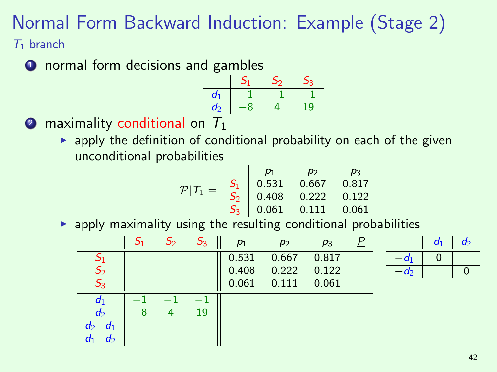$T_1$  branch

**1** normal form decisions and gambles

| d1 |   |          |
|----|---|----------|
| d2 | 8 | <b>Q</b> |

**2** maximality conditional on  $T_1$ 

 $\triangleright$  apply the definition of conditional probability on each of the given unconditional probabilities

$$
\mathcal{P}|T_1 = \begin{array}{c|ccccc}\n & p_1 & p_2 & p_3 \\
\hline\nS_1 & 0.531 & 0.667 & 0.817 \\
S_2 & 0.408 & 0.222 & 0.122 \\
S_3 & 0.061 & 0.111 & 0.061\n\end{array}
$$

 $\triangleright$  apply maximality using the resulting conditional probabilities

|                            | -21  | ၁၇ | $S_3$ | $p_1$ | $p_2$ | $p_3$ | $\overline{P}$ |      | $d_1$ | $d_2$ |
|----------------------------|------|----|-------|-------|-------|-------|----------------|------|-------|-------|
| $\mathcal{S}_1$            |      |    |       | 0.531 | 0.667 | 0.817 |                | -01  | U     |       |
| S <sub>2</sub>             |      |    |       | 0.408 | 0.222 | 0.122 |                | — də |       |       |
| $S_3$                      |      |    |       | 0.061 | 0.111 | 0.061 |                |      |       |       |
| $d_1$                      |      |    |       |       |       |       |                |      |       |       |
| $d_2$                      | $-8$ | Δ  | 19    |       |       |       |                |      |       |       |
| $d_2 - d_1$<br>$d_1 - d_2$ |      |    |       |       |       |       |                |      |       |       |
|                            |      |    |       |       |       |       |                |      |       |       |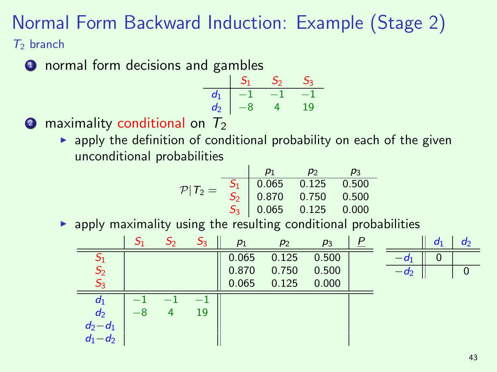$T_2$  branch

**1** normal form decisions and gambles

| d. |   |           |
|----|---|-----------|
| d  | 8 | $\bullet$ |

**2** maximality conditional on  $T_2$ 

 $\rightarrow$  apply the definition of conditional probability on each of the given unconditional probabilities

$$
\mathcal{P}|T_2 = \begin{array}{c|ccccc} & p_1 & p_2 & p_3 \\ \hline S_1 & 0.065 & 0.125 & 0.500 \\ S_2 & 0.870 & 0.750 & 0.500 \\ S_3 & 0.065 & 0.125 & 0.000 \end{array}
$$

 $\triangleright$  apply maximality using the resulting conditional probabilities

|                |      | $S_3$ | $p_1$ | $p_2$ | $p_3$ | P |      | $d_1$ | $d_2$ |
|----------------|------|-------|-------|-------|-------|---|------|-------|-------|
| $S_1$          |      |       | 0.065 | 0.125 | 0.500 |   | -01  | υ     |       |
| S <sub>2</sub> |      |       | 0.870 | 0.750 | 0.500 |   | — də |       |       |
| $S_3$          |      |       | 0.065 | 0.125 | 0.000 |   |      |       |       |
| $d_1$          |      |       |       |       |       |   |      |       |       |
| $d_2$          | $-8$ | 19    |       |       |       |   |      |       |       |
| $d_2-d_1$      |      |       |       |       |       |   |      |       |       |
| $d_1-d_2$      |      |       |       |       |       |   |      |       |       |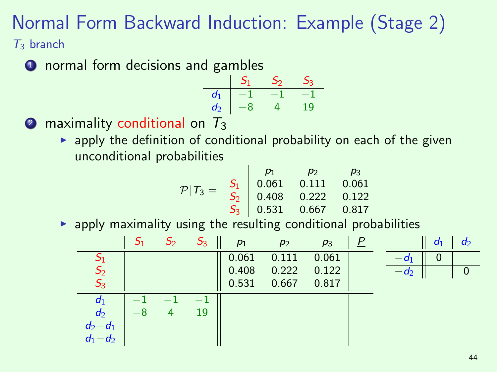$T_3$  branch

**1** normal form decisions and gambles

| d1 |   |          |
|----|---|----------|
| d2 | 8 | <b>Q</b> |

**2** maximality conditional on  $T_3$ 

 $\rightarrow$  apply the definition of conditional probability on each of the given unconditional probabilities

$$
\mathcal{P}|T_3 = \begin{array}{c|ccccc}\n & p_1 & p_2 & p_3 \\
\hline\nS_1 & 0.061 & 0.111 & 0.061 \\
S_2 & 0.408 & 0.222 & 0.122 \\
S_3 & 0.531 & 0.667 & 0.817\n\end{array}
$$

 $\triangleright$  apply maximality using the resulting conditional probabilities

|                            |   | $S_3$ | $p_1$ | $p_2$ | $p_3$ |        | $d_1$ | a <sub>2</sub> |
|----------------------------|---|-------|-------|-------|-------|--------|-------|----------------|
| $S_1$                      |   |       | 0.061 | 0.111 | 0.061 | $-a_1$ | O     |                |
| S <sub>2</sub>             |   |       | 0.408 | 0.222 | 0.122 | $-a2$  |       | 0              |
| $S_3$                      |   |       | 0.531 | 0.667 | 0.817 |        |       |                |
| $d_1$                      |   |       |       |       |       |        |       |                |
| $d_2$                      | 4 | 19    |       |       |       |        |       |                |
| $d_2 - d_1$<br>$d_1 - d_2$ |   |       |       |       |       |        |       |                |
|                            |   |       |       |       |       |        |       |                |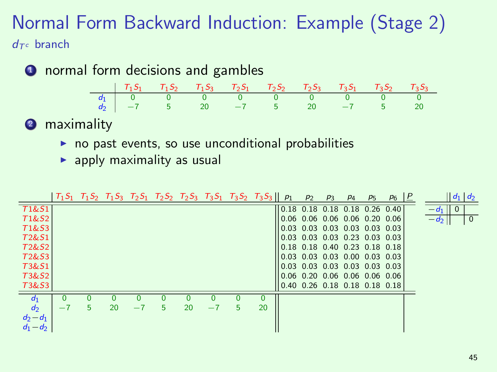#### Normal Form Backward Induction: Example (Stage 2)  $d\tau c$  branch

**1** normal form decisions and gambles

| $d_2$   $-7$ 5 20 $-7$ 5 20 $-7$ 5 20 |  |  |  |  |
|---------------------------------------|--|--|--|--|

**2** maximality

- $\triangleright$  no past events, so use unconditional probabilities
- $\blacktriangleright$  apply maximality as usual

|                                |      |    |    |      |   |    |      | $T_1S_1$ $T_1S_2$ $T_1S_3$ $T_2S_1$ $T_2S_2$ $T_2S_3$ $T_3S_1$ $T_3S_2$ $T_3S_3$    $p_1$ |    |                                 | p <sub>2</sub> | $P_3$ | P <sub>4</sub>                | p <sub>5</sub> | $P_6$ | P |                    | $\ d_1\ d_2$   |  |
|--------------------------------|------|----|----|------|---|----|------|-------------------------------------------------------------------------------------------|----|---------------------------------|----------------|-------|-------------------------------|----------------|-------|---|--------------------|----------------|--|
| T1&51                          |      |    |    |      |   |    |      |                                                                                           |    | $0.18$ 0.18 0.18 0.18 0.26 0.40 |                |       |                               |                |       |   | $-d_1 \parallel 0$ |                |  |
| T1&S2                          |      |    |    |      |   |    |      |                                                                                           |    |                                 |                |       | 0.06 0.06 0.06 0.06 0.20 0.06 |                |       |   | $-d_2$             | $\overline{0}$ |  |
| T <sub>1</sub> &S <sub>3</sub> |      |    |    |      |   |    |      |                                                                                           |    |                                 |                |       | 0.03 0.03 0.03 0.03 0.03 0.03 |                |       |   |                    |                |  |
| T <sub>2</sub> &S <sub>1</sub> |      |    |    |      |   |    |      |                                                                                           |    |                                 |                |       | 0.03 0.03 0.03 0.23 0.03 0.03 |                |       |   |                    |                |  |
| T2&S2                          |      |    |    |      |   |    |      |                                                                                           |    |                                 |                |       | 0.18 0.18 0.40 0.23 0.18 0.18 |                |       |   |                    |                |  |
| T <sub>2</sub> &S <sub>3</sub> |      |    |    |      |   |    |      |                                                                                           |    |                                 |                |       | 0.03 0.03 0.03 0.00 0.03 0.03 |                |       |   |                    |                |  |
| T3&S1                          |      |    |    |      |   |    |      |                                                                                           |    |                                 |                |       | 0.03 0.03 0.03 0.03 0.03 0.03 |                |       |   |                    |                |  |
| T3&S2                          |      |    |    |      |   |    |      |                                                                                           |    |                                 |                |       | 0.06 0.20 0.06 0.06 0.06 0.06 |                |       |   |                    |                |  |
| T3&S3                          |      |    |    |      |   |    |      |                                                                                           |    |                                 |                |       | 0.40 0.26 0.18 0.18 0.18 0.18 |                |       |   |                    |                |  |
| $d_1$                          |      |    |    |      |   |    |      |                                                                                           |    |                                 |                |       |                               |                |       |   |                    |                |  |
| d <sub>2</sub>                 | $-1$ | 5. | 20 | $-7$ | 5 | 20 | $-7$ | 5                                                                                         | 20 |                                 |                |       |                               |                |       |   |                    |                |  |
| $d_2 - d_1$                    |      |    |    |      |   |    |      |                                                                                           |    |                                 |                |       |                               |                |       |   |                    |                |  |
| $d_1 - d_2$                    |      |    |    |      |   |    |      |                                                                                           |    |                                 |                |       |                               |                |       |   |                    |                |  |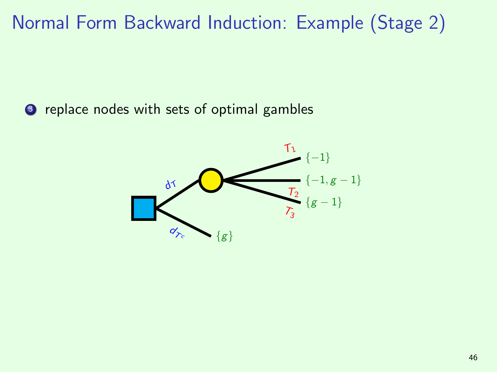<sup>3</sup> replace nodes with sets of optimal gambles

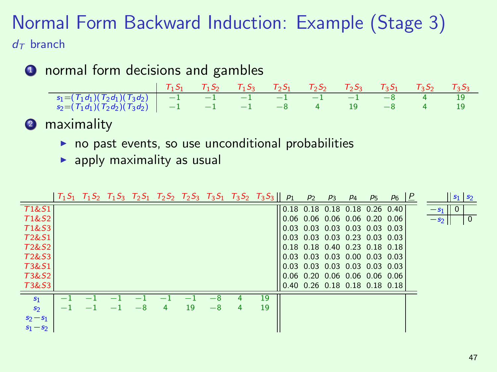#### Normal Form Backward Induction: Example (Stage 3)  $d\tau$  branch

**1** normal form decisions and gambles

|                                                                                 | $T_1S_1$ $T_1S_2$ $T_1S_3$ $T_2S_1$ $T_2S_2$ $T_2S_3$ $T_3S_1$ $T_3S_2$ $T_3S_3$ |  |  |  |  |
|---------------------------------------------------------------------------------|----------------------------------------------------------------------------------|--|--|--|--|
| $s_1 = (T_1 d_1)(T_2 d_1)(T_3 d_2)$ $-1$ $-1$ $-1$ $-1$ $-1$ $-1$ $-8$ $4$ $19$ |                                                                                  |  |  |  |  |
| $s_2=(T_1d_1)(T_2d_2)(T_3d_2)$ -1 -1 -1 -8 4 19 -8 4 19                         |                                                                                  |  |  |  |  |

**2** maximality

- $\triangleright$  no past events, so use unconditional probabilities
- $\blacktriangleright$  apply maximality as usual

|                                |  |      |   |    |      |   | $T_1S_1$ $T_1S_2$ $T_1S_3$ $T_2S_1$ $T_2S_2$ $T_2S_3$ $T_3S_1$ $T_3S_2$ $T_3S_3  p_1$ |                                 | P <sub>2</sub> | $P_3$ | P <sub>4</sub> | P <sub>5</sub> | $P_6$ |                  | $\left  \mathbf{s}_1 \right  \mathbf{s}_2$ |                 |
|--------------------------------|--|------|---|----|------|---|---------------------------------------------------------------------------------------|---------------------------------|----------------|-------|----------------|----------------|-------|------------------|--------------------------------------------|-----------------|
| <b>T1&amp;S1</b>               |  |      |   |    |      |   |                                                                                       | 0.18 0.18 0.18 0.18 0.26 0.40   |                |       |                |                |       | $-s1$ p          |                                            |                 |
| T1&S2                          |  |      |   |    |      |   |                                                                                       | 0.06 0.06 0.06 0.06 0.20 0.06   |                |       |                |                |       | $ s_2$ $\mapsto$ |                                            | $\vert 0 \vert$ |
| T <sub>1</sub> &S <sub>3</sub> |  |      |   |    |      |   |                                                                                       | 0.03 0.03 0.03 0.03 0.03 0.03   |                |       |                |                |       |                  |                                            |                 |
| T <sub>2</sub> &S <sub>1</sub> |  |      |   |    |      |   |                                                                                       | 0.03 0.03 0.03 0.23 0.03 0.03   |                |       |                |                |       |                  |                                            |                 |
| T <sub>2</sub> &S <sub>2</sub> |  |      |   |    |      |   |                                                                                       | 0.18 0.18 0.40 0.23 0.18 0.18   |                |       |                |                |       |                  |                                            |                 |
| T <sub>2</sub> &S <sub>3</sub> |  |      |   |    |      |   |                                                                                       | 0.03 0.03 0.03 0.00 0.03 0.03   |                |       |                |                |       |                  |                                            |                 |
| T3&S1                          |  |      |   |    |      |   |                                                                                       | 0.03 0.03 0.03 0.03 0.03 0.03   |                |       |                |                |       |                  |                                            |                 |
| T3&S2                          |  |      |   |    |      |   |                                                                                       | 0.06 0.20 0.06 0.06 0.06 0.06   |                |       |                |                |       |                  |                                            |                 |
| T3&S3                          |  |      |   |    |      |   |                                                                                       | $0.40$ 0.26 0.18 0.18 0.18 0.18 |                |       |                |                |       |                  |                                            |                 |
| S <sub>1</sub>                 |  |      |   |    |      |   | 19                                                                                    |                                 |                |       |                |                |       |                  |                                            |                 |
| S <sub>2</sub>                 |  | $-8$ | 4 | 19 | $-8$ | 4 | 19                                                                                    |                                 |                |       |                |                |       |                  |                                            |                 |
| $s_2 - s_1$                    |  |      |   |    |      |   |                                                                                       |                                 |                |       |                |                |       |                  |                                            |                 |
| $s_1 - s_2$                    |  |      |   |    |      |   |                                                                                       |                                 |                |       |                |                |       |                  |                                            |                 |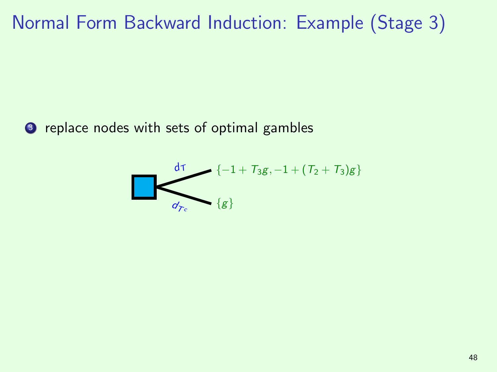<sup>3</sup> replace nodes with sets of optimal gambles

$$
\left\{\frac{d\tau}{d\gamma_c}\right\} \left\{-1+T_3g, -1+(T_2+T_3)g\right\}
$$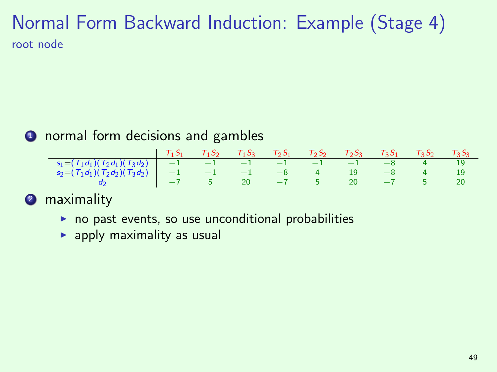### Normal Form Backward Induction: Example (Stage 4) root node

#### **1** normal form decisions and gambles

|                                                                                              | $T_1S_1$ $T_1S_2$ $T_1S_3$ $T_2S_1$ $T_2S_2$ $T_2S_3$ $T_3S_1$ $T_3S_2$ $T_3S_3$ |  |  |  |  |
|----------------------------------------------------------------------------------------------|----------------------------------------------------------------------------------|--|--|--|--|
| $s_1 = (T_1 d_1)(T_2 d_1)(T_3 d_2)$ $-1$ $-1$ $-1$ $-1$ $-1$ $-1$ $-8$ $4$ $19$              |                                                                                  |  |  |  |  |
| $s_2=(T_1d_1)(T_2d_2)(T_3d_2)$ -1 -1 -1 -8 4 19 -8 4 19                                      |                                                                                  |  |  |  |  |
| $\begin{array}{c ccccccccc}\n-3 & -7 & -7 & 5 & 20 & -7 & 5 & 20 & -7 & 5 & 20\n\end{array}$ |                                                                                  |  |  |  |  |

#### **2** maximality

- $\triangleright$  no past events, so use unconditional probabilities
- $\blacktriangleright$  apply maximality as usual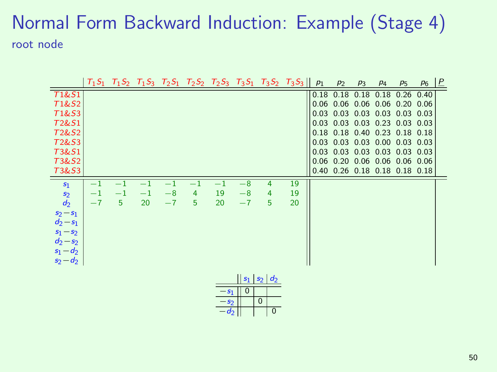### Normal Form Backward Induction: Example (Stage 4) root node

|                  |         |         |         |      |      |        |                    |                                 | $T_1S_1$ $T_1S_2$ $T_1S_3$ $T_2S_1$ $T_2S_2$ $T_2S_3$ $T_3S_1$ $T_3S_2$ $T_3S_3$ | $p_1$ | p <sub>2</sub> | $p_3$ | $p_4$               | $p_5$                         | P <sub>6</sub> | P |
|------------------|---------|---------|---------|------|------|--------|--------------------|---------------------------------|----------------------------------------------------------------------------------|-------|----------------|-------|---------------------|-------------------------------|----------------|---|
| <b>T1&amp;S1</b> |         |         |         |      |      |        |                    |                                 |                                                                                  |       | $0.18$ 0.18    | 0.18  | 0.18                | 0.26                          | 0.40           |   |
| T1&S2            |         |         |         |      |      |        |                    |                                 |                                                                                  |       |                |       |                     | 0.06 0.06 0.06 0.06 0.20 0.06 |                |   |
| T1&S3            |         |         |         |      |      |        |                    |                                 |                                                                                  |       |                |       |                     | 0.03 0.03 0.03 0.03 0.03 0.03 |                |   |
| T2&S1            |         |         |         |      |      |        |                    |                                 |                                                                                  |       |                |       | 0.03 0.03 0.03 0.23 | $0.03$ 0.03                   |                |   |
| T2&S2            |         |         |         |      |      |        |                    |                                 |                                                                                  |       |                |       |                     | 0.18 0.18 0.40 0.23 0.18 0.18 |                |   |
| T2&S3            |         |         |         |      |      |        |                    |                                 |                                                                                  |       |                |       | 0.03 0.03 0.03 0.00 | $0.03$ 0.03                   |                |   |
| T3&S1            |         |         |         |      |      |        |                    |                                 |                                                                                  |       |                |       |                     | 0.03 0.03 0.03 0.03 0.03 0.03 |                |   |
| T3&S2            |         |         |         |      |      |        |                    |                                 |                                                                                  |       |                |       |                     | 0.06 0.20 0.06 0.06 0.06 0.06 |                |   |
| T3&S3            |         |         |         |      |      |        |                    |                                 |                                                                                  |       |                |       |                     | 0.40 0.26 0.18 0.18 0.18 0.18 |                |   |
| $s_1$            |         | $-1$    | $-1$    | $-1$ | $-1$ | $-1$   | $\overline{\bf 8}$ | 4                               | 19                                                                               |       |                |       |                     |                               |                |   |
| $\mathfrak{s}_2$ | $^{-1}$ | $^{-1}$ | $^{-1}$ | $-8$ | 4    | 19     | $-8$               | 4                               | 19                                                                               |       |                |       |                     |                               |                |   |
| $d_2$            | $-7$    | 5       | 20      | $-7$ | 5    | 20     | $-7$               | 5                               | 20                                                                               |       |                |       |                     |                               |                |   |
| $s_2 - s_1$      |         |         |         |      |      |        |                    |                                 |                                                                                  |       |                |       |                     |                               |                |   |
| $d_2 - s_1$      |         |         |         |      |      |        |                    |                                 |                                                                                  |       |                |       |                     |                               |                |   |
| $s_1 - s_2$      |         |         |         |      |      |        |                    |                                 |                                                                                  |       |                |       |                     |                               |                |   |
| $d_2 - s_2$      |         |         |         |      |      |        |                    |                                 |                                                                                  |       |                |       |                     |                               |                |   |
| $s_1 - d_2$      |         |         |         |      |      |        |                    |                                 |                                                                                  |       |                |       |                     |                               |                |   |
| $s_2 - d_2$      |         |         |         |      |      |        |                    |                                 |                                                                                  |       |                |       |                     |                               |                |   |
|                  |         |         |         |      |      |        |                    |                                 |                                                                                  |       |                |       |                     |                               |                |   |
|                  |         |         |         |      |      |        |                    | $\vert s_1 \vert s_2 \vert d_2$ |                                                                                  |       |                |       |                     |                               |                |   |
|                  |         |         |         |      |      | $-s1$  | $\mathbf{0}$       |                                 |                                                                                  |       |                |       |                     |                               |                |   |
|                  |         |         |         |      |      | $-s2$  |                    | $\mathbf{0}$                    |                                                                                  |       |                |       |                     |                               |                |   |
|                  |         |         |         |      |      | $-d_2$ |                    | $\overline{0}$                  |                                                                                  |       |                |       |                     |                               |                |   |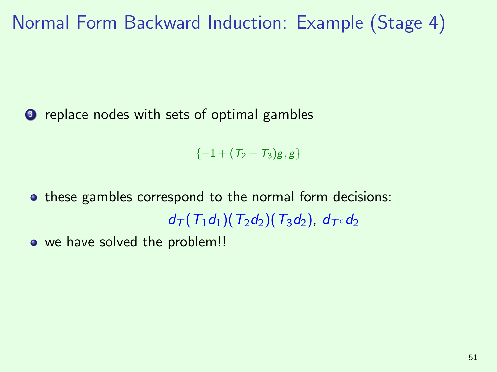<sup>3</sup> replace nodes with sets of optimal gambles

 $\{-1 + (T_2 + T_3)g, g\}$ 

• these gambles correspond to the normal form decisions:  $d_{\mathcal{T}}(T_1d_1)(T_2d_2)(T_3d_2), d_{\mathcal{T}}\infty d_2$ 

• we have solved the problem!!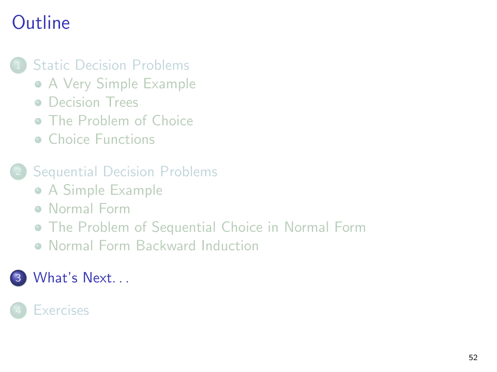## **Outline**

#### **[Static Decision Problems](#page-2-0)**

- [A Very Simple Example](#page-2-0)
- **[Decision Trees](#page-5-0)**
- **C** [The Problem of Choice](#page-8-0)
- **[Choice Functions](#page-20-0)**
- **[Sequential Decision Problems](#page-30-0)** 
	- [A Simple Example](#page-30-0)
	- **[Normal Form](#page-33-0)**
	- [The Problem of Sequential Choice in Normal Form](#page-37-0)
	- [Normal Form Backward Induction](#page-41-0)

#### <span id="page-56-0"></span>What's Next...

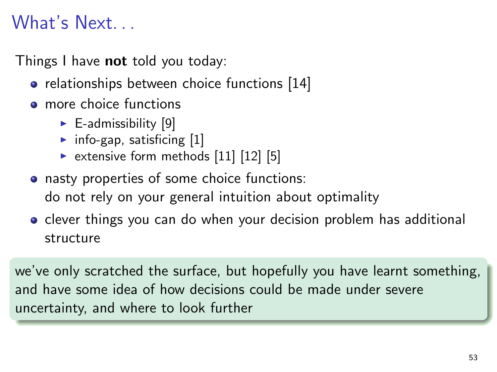## What's Next. . .

Things I have **not** told you today:

- relationships between choice functions [\[14\]](#page-62-0)
- **o** more choice functions
	- $\blacktriangleright$  E-admissibility [\[9\]](#page-60-1)
	- $\blacktriangleright$  info-gap, satisficing  $[1]$
	- $\triangleright$  extensive form methods [\[11\]](#page-61-0) [\[12\]](#page-61-1) [\[5\]](#page-59-0)
- nasty properties of some choice functions: do not rely on your general intuition about optimality
- **•** clever things you can do when your decision problem has additional structure

we've only scratched the surface, but hopefully you have learnt something, and have some idea of how decisions could be made under severe uncertainty, and where to look further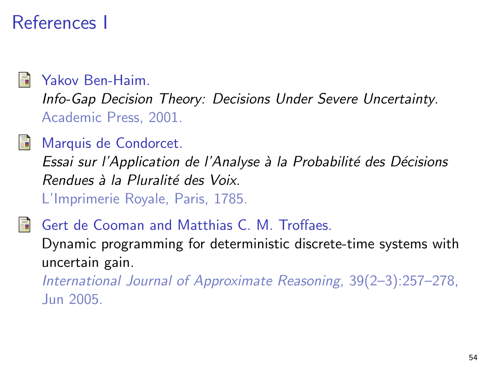## References I

<span id="page-58-1"></span>

#### Yakov Ben-Haim.

Info-Gap Decision Theory: Decisions Under Severe Uncertainty. Academic Press, 2001.

#### Marquis de Condorcet.

Essai sur l'Application de l'Analyse à la Probabilité des Décisions Rendues à la Pluralité des Voix. L'Imprimerie Royale, Paris, 1785.

#### <span id="page-58-0"></span>Gert de Cooman and Matthias C. M. Troffaes.

Dynamic programming for deterministic discrete-time systems with uncertain gain.

International Journal of Approximate Reasoning, 39(2–3):257–278, Jun 2005.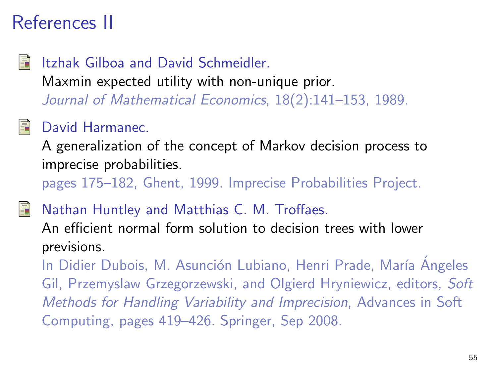## References II

#### Itzhak Gilboa and David Schmeidler. Maxmin expected utility with non-unique prior. Journal of Mathematical Economics, 18(2):141–153, 1989.

#### <span id="page-59-0"></span>David Harmanec.

A generalization of the concept of Markov decision process to imprecise probabilities.

pages 175–182, Ghent, 1999. Imprecise Probabilities Project.

<span id="page-59-1"></span>Nathan Huntley and Matthias C. M. Troffaes.

An efficient normal form solution to decision trees with lower previsions.

In Didier Dubois, M. Asunción Lubiano, Henri Prade, María Ángeles Gil, Przemyslaw Grzegorzewski, and Olgierd Hryniewicz, editors, Soft Methods for Handling Variability and Imprecision, Advances in Soft Computing, pages 419–426. Springer, Sep 2008.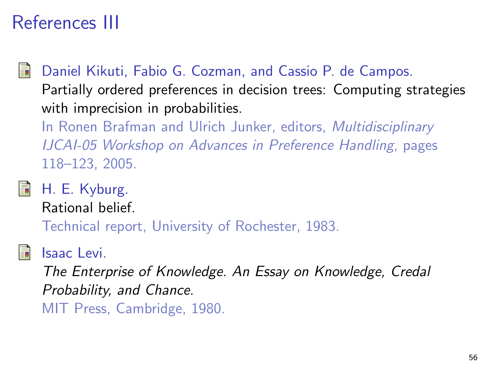## References III

<span id="page-60-0"></span>

Daniel Kikuti, Fabio G. Cozman, and Cassio P. de Campos. Partially ordered preferences in decision trees: Computing strategies with imprecision in probabilities.

In Ronen Brafman and Ulrich Junker, editors, Multidisciplinary IJCAI-05 Workshop on Advances in Preference Handling, pages 118–123, 2005.

H. E. Kyburg.

Rational belief.

Technical report, University of Rochester, 1983.

#### <span id="page-60-1"></span>Isaac Levi.

The Enterprise of Knowledge. An Essay on Knowledge, Credal Probability, and Chance. MIT Press, Cambridge, 1980.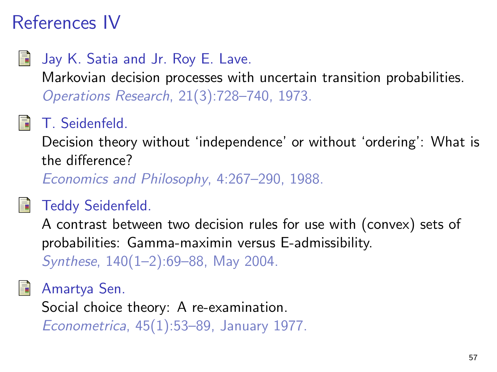## References IV

## Jay K. Satia and Jr. Roy E. Lave.

Markovian decision processes with uncertain transition probabilities. Operations Research, 21(3):728–740, 1973.

## <span id="page-61-0"></span>T. Seidenfeld.

Decision theory without 'independence' or without 'ordering': What is the difference?

Economics and Philosophy, 4:267–290, 1988.

## <span id="page-61-1"></span>Teddy Seidenfeld.

A contrast between two decision rules for use with (convex) sets of probabilities: Gamma-maximin versus E-admissibility. Synthese, 140(1–2):69–88, May 2004.

Amartya Sen.

Social choice theory: A re-examination.

Econometrica, 45(1):53–89, January 1977.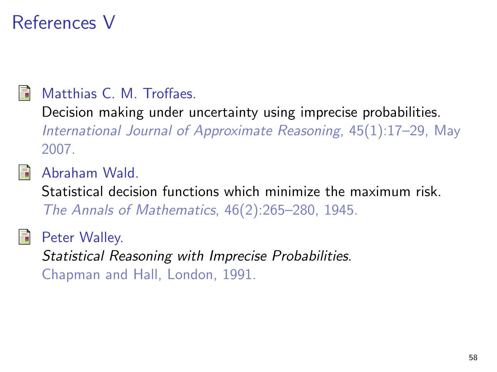## References V

<span id="page-62-0"></span>

#### Matthias C. M. Troffaes.

Decision making under uncertainty using imprecise probabilities. International Journal of Approximate Reasoning, 45(1):17–29, May 2007.



Abraham Wald.

Statistical decision functions which minimize the maximum risk. The Annals of Mathematics, 46(2):265–280, 1945.

Peter Walley.

Statistical Reasoning with Imprecise Probabilities. Chapman and Hall, London, 1991.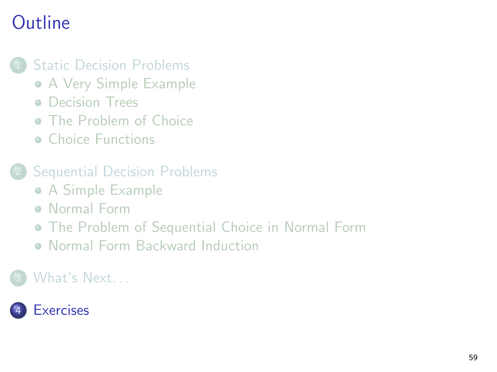## **Outline**

#### **[Static Decision Problems](#page-2-0)**

- [A Very Simple Example](#page-2-0)
- **[Decision Trees](#page-5-0)**
- **C** [The Problem of Choice](#page-8-0)
- **[Choice Functions](#page-20-0)**
- **[Sequential Decision Problems](#page-30-0)** 
	- [A Simple Example](#page-30-0)
	- **[Normal Form](#page-33-0)**
	- [The Problem of Sequential Choice in Normal Form](#page-37-0)
	- [Normal Form Backward Induction](#page-41-0)

#### <span id="page-63-0"></span>[What's Next. . .](#page-56-0)

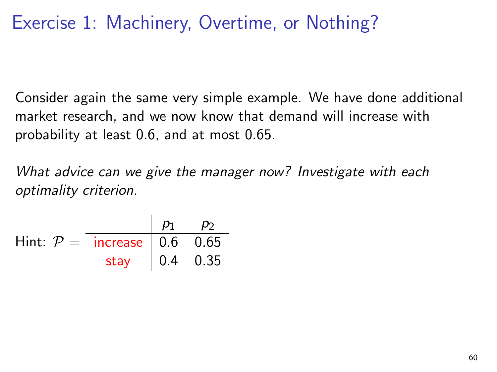## Exercise 1: Machinery, Overtime, or Nothing?

Consider again the same very simple example. We have done additional market research, and we now know that demand will increase with probability at least 0.6, and at most 0.65.

What advice can we give the manager now? Investigate with each optimality criterion.

|                               |                                                 | $p_1$ $p_2$ |  |
|-------------------------------|-------------------------------------------------|-------------|--|
| Hint: $P =$ increase 0.6 0.65 |                                                 |             |  |
|                               | stay $\begin{vmatrix} 0.4 & 0.35 \end{vmatrix}$ |             |  |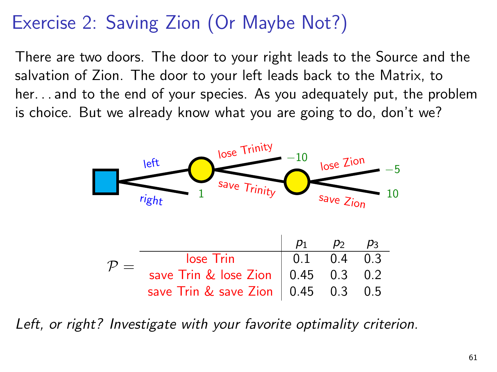## Exercise 2: Saving Zion (Or Maybe Not?)

There are two doors. The door to your right leads to the Source and the salvation of Zion. The door to your left leads back to the Matrix, to her. . . and to the end of your species. As you adequately put, the problem is choice. But we already know what you are going to do, don't we?



Left, or right? Investigate with your favorite optimality criterion.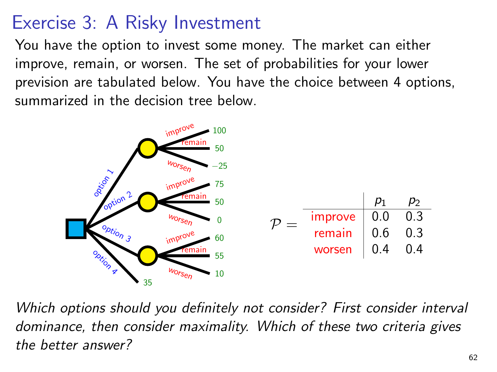## Exercise 3: A Risky Investment

You have the option to invest some money. The market can either improve, remain, or worsen. The set of probabilities for your lower prevision are tabulated below. You have the choice between 4 options, summarized in the decision tree below.



Which options should you definitely not consider? First consider interval dominance, then consider maximality. Which of these two criteria gives the better answer?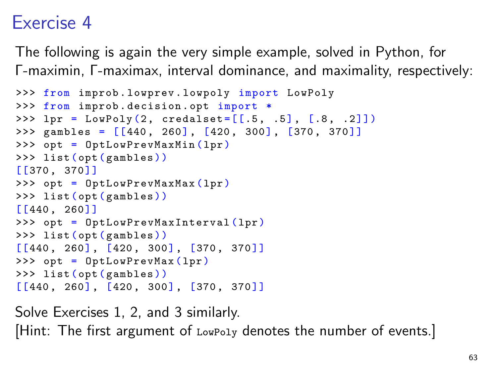## Exercise 4

The following is again the very simple example, solved in Python, for Γ-maximin, Γ-maximax, interval dominance, and maximality, respectively:

```
>>> from improb . lowprev . lowpoly import LowPoly
>>> from improb . decision . opt import *
>>> lpr = LowPoly(2, createdalset = [[.5, .5], [.8, .2]])\gg gambles = [[440, 260], [420, 300], [370, 370]]>>> opt = OptLowPrevMaxMin (lpr)
>>> list ( opt ( gambles ))
[[370 , 370]]
>>> opt = OptLowPrevMaxMax (lpr)
>>> list ( opt ( gambles ))
[[440 , 260]]
>>> opt = OptLowPrevMaxInterval (lpr)
>>> list ( opt ( gambles ))
[ [440, 260], [420, 300], [370, 370]]>>> opt = OptLowPrevMax ( lpr )
>>> list ( opt ( gambles ))
[ [440, 260], [420, 300], [370, 370]]
```
Solve Exercises 1, 2, and 3 similarly. [Hint: The first argument of LowPoly denotes the number of events.]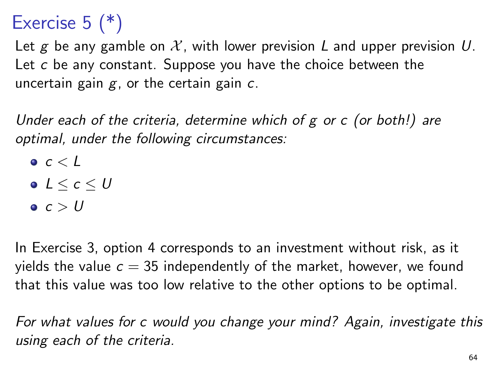## Exercise  $5$   $(*)$

Let g be any gamble on  $\mathcal{X}$ , with lower prevision L and upper prevision U. Let c be any constant. Suppose you have the choice between the uncertain gain  $g$ , or the certain gain  $c$ .

Under each of the criteria, determine which of g or c (or both!) are optimal, under the following circumstances:

- $\bullet$   $c < L$
- $0 \leq c \leq U$
- $c > U$

In Exercise 3, option 4 corresponds to an investment without risk, as it yields the value  $c = 35$  independently of the market, however, we found that this value was too low relative to the other options to be optimal.

For what values for c would you change your mind? Again, investigate this using each of the criteria.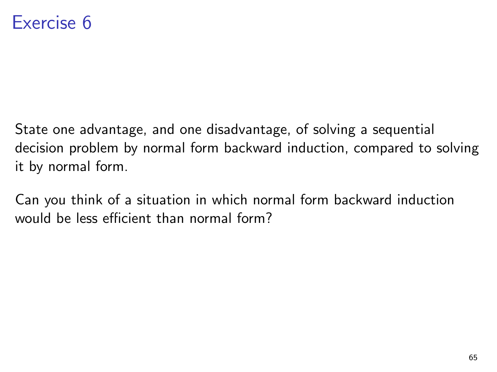## Exercise 6

State one advantage, and one disadvantage, of solving a sequential decision problem by normal form backward induction, compared to solving it by normal form.

Can you think of a situation in which normal form backward induction would be less efficient than normal form?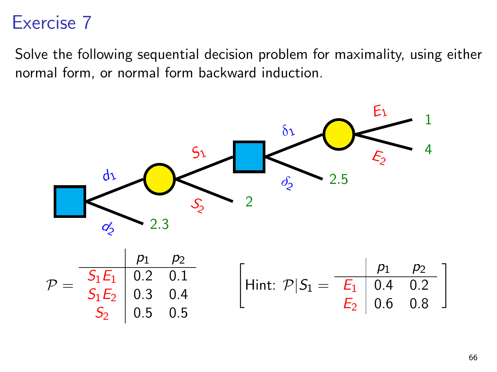## Exercise 7

Solve the following sequential decision problem for maximality, using either normal form, or normal form backward induction.

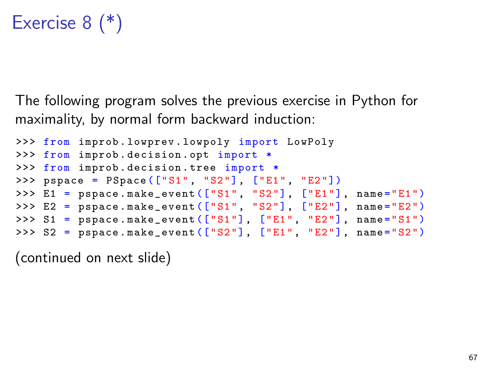## Exercise 8 (\*)

The following program solves the previous exercise in Python for maximality, by normal form backward induction:

```
>>> from improb . lowprev . lowpoly import LowPoly
>>> from improb . decision . opt import *
>>> from improb . decision . tree import *
>>> pspace = PSpace (["S1", "S2"], ["E1", "E2"])
>>> E1 = pspace.make_event(["S1", "S2"], ["E1"], name="E1")
>>> E2 = pspace.make_event (["S1", "S2"], ["E2"], name="E2")
>>> S1 = pspace.\text{make\_event}(["S1"], ["E1" "E2"], name="S1")\Rightarrow \Rightarrow S2 = pspace.\text{make\_event}(["S2"], ["E1", "E2"], name="S2")
```
(continued on next slide)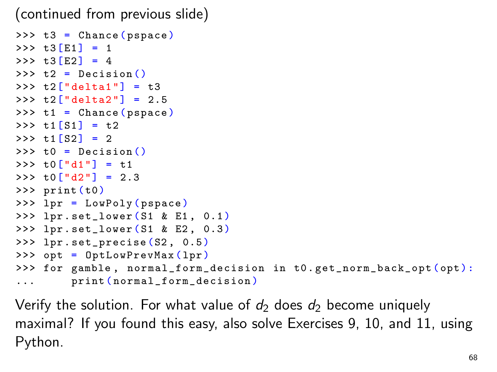(continued from previous slide)

```
\Rightarrow \Rightarrow t3 = Chance (pspace)
>> t3 [E1] = 1
>> t3 [E2] = 4
\Rightarrow \geq t2 = Decision ()
>>  t2["delta1"] = t3
>>> t2["delta2"] = 2.5
\Rightarrow \frac{1}{1} = Chance (pspace)
>> t1[S1] = t2
>> t1[S2] = 2
\Rightarrow \Rightarrow \pm 0 = Decision ()
>>> \text{to} ["d1"] = \text{t}1>>  t0 ["d2"] = 2.3
>>> print (t0)
>>> lpr = LowPoly ( pspace )
>> lpr.set_lower (S1 & E1, 0.1)
>>> lpr . set_lower (S1 & E2 , 0.3 )
>>> lpr . set_precise (S2 , 0.5)
>>> opt = OptLowPrevMax ( lpr )
>>> for gamble, normal_form_decision in t0.get_norm_back_opt(opt):
... print (normal_form_decision)
```
Verify the solution. For what value of  $d_2$  does  $d_2$  become uniquely maximal? If you found this easy, also solve Exercises 9, 10, and 11, using Python.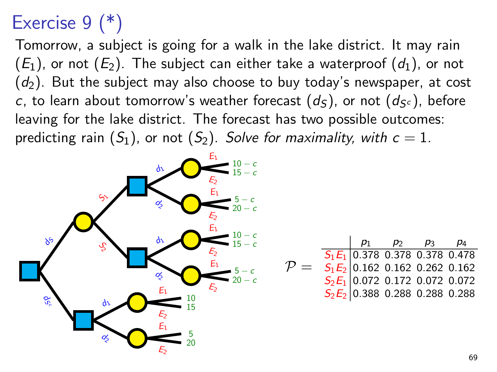## Exercise 9 (\*)

Tomorrow, a subject is going for a walk in the lake district. It may rain  $(E_1)$ , or not  $(E_2)$ . The subject can either take a waterproof  $(d_1)$ , or not  $(d_2)$ . But the subject may also choose to buy today's newspaper, at cost c, to learn about tomorrow's weather forecast  $(d_S)$ , or not  $(d_{S^c})$ , before leaving for the lake district. The forecast has two possible outcomes: predicting rain  $(S_1)$ , or not  $(S_2)$ . Solve for maximality, with  $c = 1$ .

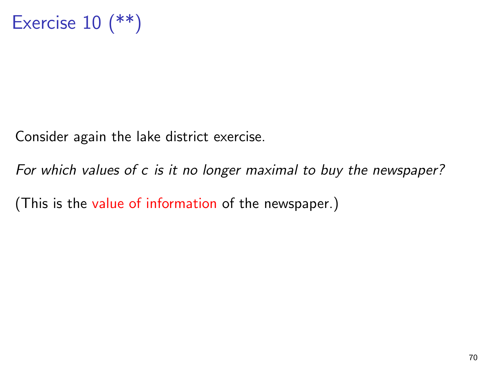Consider again the lake district exercise.

For which values of c is it no longer maximal to buy the newspaper?

(This is the value of information of the newspaper.)